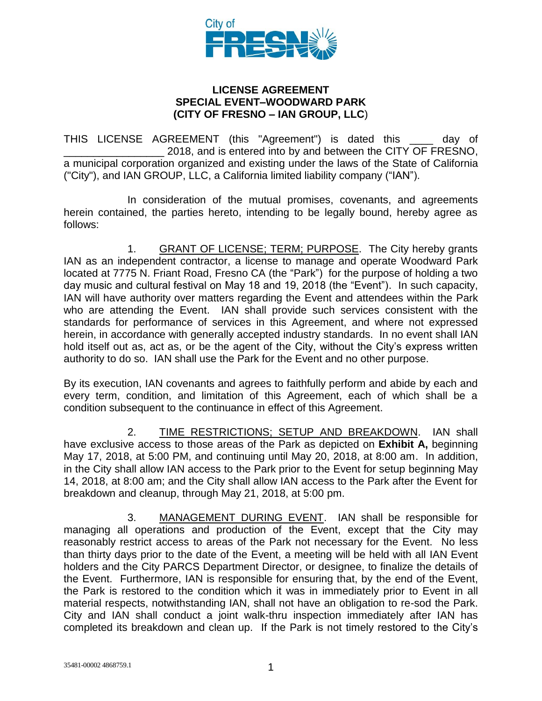

## **LICENSE AGREEMENT SPECIAL EVENT–WOODWARD PARK (CITY OF FRESNO – IAN GROUP, LLC**)

THIS LICENSE AGREEMENT (this "Agreement") is dated this \_\_\_\_ day of 2018, and is entered into by and between the CITY OF FRESNO, a municipal corporation organized and existing under the laws of the State of California ("City"), and IAN GROUP, LLC, a California limited liability company ("IAN").

In consideration of the mutual promises, covenants, and agreements herein contained, the parties hereto, intending to be legally bound, hereby agree as follows:

1. GRANT OF LICENSE; TERM; PURPOSE. The City hereby grants IAN as an independent contractor, a license to manage and operate Woodward Park located at 7775 N. Friant Road, Fresno CA (the "Park") for the purpose of holding a two day music and cultural festival on May 18 and 19, 2018 (the "Event"). In such capacity, IAN will have authority over matters regarding the Event and attendees within the Park who are attending the Event. IAN shall provide such services consistent with the standards for performance of services in this Agreement, and where not expressed herein, in accordance with generally accepted industry standards. In no event shall IAN hold itself out as, act as, or be the agent of the City, without the City's express written authority to do so. IAN shall use the Park for the Event and no other purpose.

By its execution, IAN covenants and agrees to faithfully perform and abide by each and every term, condition, and limitation of this Agreement, each of which shall be a condition subsequent to the continuance in effect of this Agreement.

2. TIME RESTRICTIONS; SETUP AND BREAKDOWN. IAN shall have exclusive access to those areas of the Park as depicted on **Exhibit A,** beginning May 17, 2018, at 5:00 PM, and continuing until May 20, 2018, at 8:00 am. In addition, in the City shall allow IAN access to the Park prior to the Event for setup beginning May 14, 2018, at 8:00 am; and the City shall allow IAN access to the Park after the Event for breakdown and cleanup, through May 21, 2018, at 5:00 pm.

3. MANAGEMENT DURING EVENT. IAN shall be responsible for managing all operations and production of the Event, except that the City may reasonably restrict access to areas of the Park not necessary for the Event. No less than thirty days prior to the date of the Event, a meeting will be held with all IAN Event holders and the City PARCS Department Director, or designee, to finalize the details of the Event. Furthermore, IAN is responsible for ensuring that, by the end of the Event, the Park is restored to the condition which it was in immediately prior to Event in all material respects, notwithstanding IAN, shall not have an obligation to re-sod the Park. City and IAN shall conduct a joint walk-thru inspection immediately after IAN has completed its breakdown and clean up. If the Park is not timely restored to the City's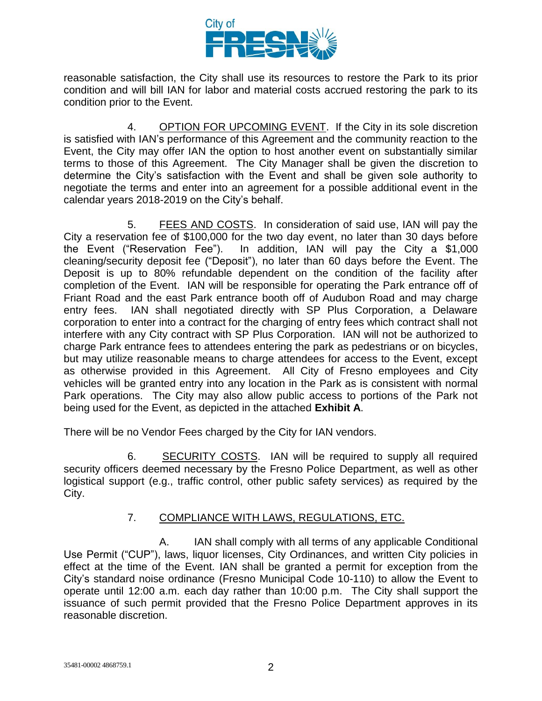

reasonable satisfaction, the City shall use its resources to restore the Park to its prior condition and will bill IAN for labor and material costs accrued restoring the park to its condition prior to the Event.

4. OPTION FOR UPCOMING EVENT. If the City in its sole discretion is satisfied with IAN's performance of this Agreement and the community reaction to the Event, the City may offer IAN the option to host another event on substantially similar terms to those of this Agreement. The City Manager shall be given the discretion to determine the City's satisfaction with the Event and shall be given sole authority to negotiate the terms and enter into an agreement for a possible additional event in the calendar years 2018-2019 on the City's behalf.

5. FEES AND COSTS. In consideration of said use, IAN will pay the City a reservation fee of \$100,000 for the two day event, no later than 30 days before the Event ("Reservation Fee"). In addition, IAN will pay the City a \$1,000 cleaning/security deposit fee ("Deposit"), no later than 60 days before the Event. The Deposit is up to 80% refundable dependent on the condition of the facility after completion of the Event. IAN will be responsible for operating the Park entrance off of Friant Road and the east Park entrance booth off of Audubon Road and may charge entry fees. IAN shall negotiated directly with SP Plus Corporation, a Delaware corporation to enter into a contract for the charging of entry fees which contract shall not interfere with any City contract with SP Plus Corporation. IAN will not be authorized to charge Park entrance fees to attendees entering the park as pedestrians or on bicycles, but may utilize reasonable means to charge attendees for access to the Event, except as otherwise provided in this Agreement. All City of Fresno employees and City vehicles will be granted entry into any location in the Park as is consistent with normal Park operations. The City may also allow public access to portions of the Park not being used for the Event, as depicted in the attached **Exhibit A**.

There will be no Vendor Fees charged by the City for IAN vendors.

6. SECURITY COSTS. IAN will be required to supply all required security officers deemed necessary by the Fresno Police Department, as well as other logistical support (e.g., traffic control, other public safety services) as required by the City.

## 7. COMPLIANCE WITH LAWS, REGULATIONS, ETC.

A. IAN shall comply with all terms of any applicable Conditional Use Permit ("CUP"), laws, liquor licenses, City Ordinances, and written City policies in effect at the time of the Event. IAN shall be granted a permit for exception from the City's standard noise ordinance (Fresno Municipal Code 10-110) to allow the Event to operate until 12:00 a.m. each day rather than 10:00 p.m. The City shall support the issuance of such permit provided that the Fresno Police Department approves in its reasonable discretion.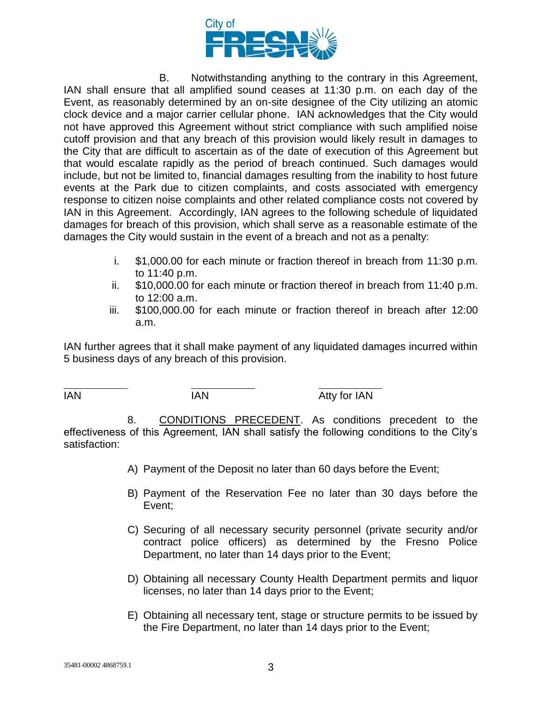

B. Notwithstanding anything to the contrary in this Agreement, IAN shall ensure that all amplified sound ceases at 11:30 p.m. on each day of the Event, as reasonably determined by an on-site designee of the City utilizing an atomic clock device and a major carrier cellular phone. IAN acknowledges that the City would not have approved this Agreement without strict compliance with such amplified noise cutoff provision and that any breach of this provision would likely result in damages to the City that are difficult to ascertain as of the date of execution of this Agreement but that would escalate rapidly as the period of breach continued. Such damages would include, but not be limited to, financial damages resulting from the inability to host future events at the Park due to citizen complaints, and costs associated with emergency response to citizen noise complaints and other related compliance costs not covered by IAN in this Agreement. Accordingly, IAN agrees to the following schedule of liquidated damages for breach of this provision, which shall serve as a reasonable estimate of the damages the City would sustain in the event of a breach and not as a penalty:

- i. \$1,000.00 for each minute or fraction thereof in breach from 11:30 p.m. to 11:40 p.m.
- ii. \$10,000.00 for each minute or fraction thereof in breach from 11:40 p.m. to 12:00 a.m.
- iii. \$100,000.00 for each minute or fraction thereof in breach after 12:00 a.m.

IAN further agrees that it shall make payment of any liquidated damages incurred within 5 business days of any breach of this provision.

IAN IAN Atty for IAN

8. CONDITIONS PRECEDENT. As conditions precedent to the effectiveness of this Agreement, IAN shall satisfy the following conditions to the City's satisfaction:

- A) Payment of the Deposit no later than 60 days before the Event;
- B) Payment of the Reservation Fee no later than 30 days before the Event;
- C) Securing of all necessary security personnel (private security and/or contract police officers) as determined by the Fresno Police Department, no later than 14 days prior to the Event;
- D) Obtaining all necessary County Health Department permits and liquor licenses, no later than 14 days prior to the Event;
- E) Obtaining all necessary tent, stage or structure permits to be issued by the Fire Department, no later than 14 days prior to the Event;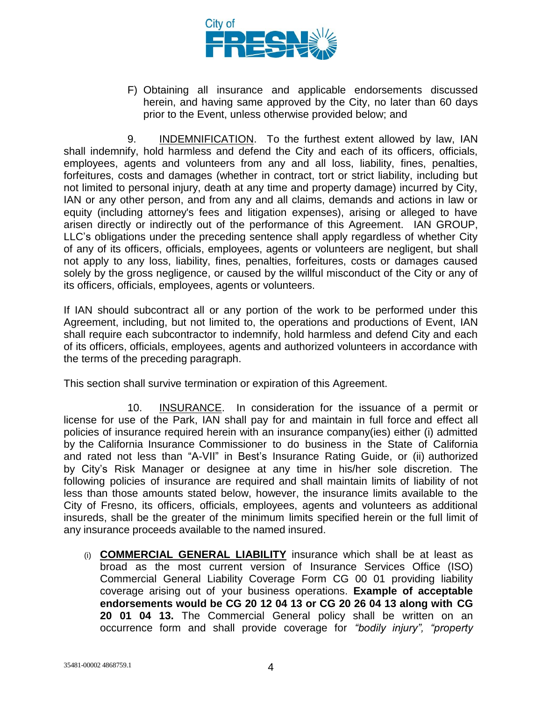

F) Obtaining all insurance and applicable endorsements discussed herein, and having same approved by the City, no later than 60 days prior to the Event, unless otherwise provided below; and

9. INDEMNIFICATION. To the furthest extent allowed by law, IAN shall indemnify, hold harmless and defend the City and each of its officers, officials, employees, agents and volunteers from any and all loss, liability, fines, penalties, forfeitures, costs and damages (whether in contract, tort or strict liability, including but not limited to personal injury, death at any time and property damage) incurred by City, IAN or any other person, and from any and all claims, demands and actions in law or equity (including attorney's fees and litigation expenses), arising or alleged to have arisen directly or indirectly out of the performance of this Agreement. IAN GROUP, LLC's obligations under the preceding sentence shall apply regardless of whether City of any of its officers, officials, employees, agents or volunteers are negligent, but shall not apply to any loss, liability, fines, penalties, forfeitures, costs or damages caused solely by the gross negligence, or caused by the willful misconduct of the City or any of its officers, officials, employees, agents or volunteers.

If IAN should subcontract all or any portion of the work to be performed under this Agreement, including, but not limited to, the operations and productions of Event, IAN shall require each subcontractor to indemnify, hold harmless and defend City and each of its officers, officials, employees, agents and authorized volunteers in accordance with the terms of the preceding paragraph.

This section shall survive termination or expiration of this Agreement.

10. INSURANCE. In consideration for the issuance of a permit or license for use of the Park, IAN shall pay for and maintain in full force and effect all policies of insurance required herein with an insurance company(ies) either (i) admitted by the California Insurance Commissioner to do business in the State of California and rated not less than "A-VII" in Best's Insurance Rating Guide, or (ii) authorized by City's Risk Manager or designee at any time in his/her sole discretion. The following policies of insurance are required and shall maintain limits of liability of not less than those amounts stated below, however, the insurance limits available to the City of Fresno, its officers, officials, employees, agents and volunteers as additional insureds, shall be the greater of the minimum limits specified herein or the full limit of any insurance proceeds available to the named insured.

(i) **COMMERCIAL GENERAL LIABILITY** insurance which shall be at least as broad as the most current version of Insurance Services Office (ISO) Commercial General Liability Coverage Form CG 00 01 providing liability coverage arising out of your business operations. **Example of acceptable endorsements would be CG 20 12 04 13 or CG 20 26 04 13 along with CG 20 01 04 13.** The Commercial General policy shall be written on an occurrence form and shall provide coverage for *"bodily injury", "property*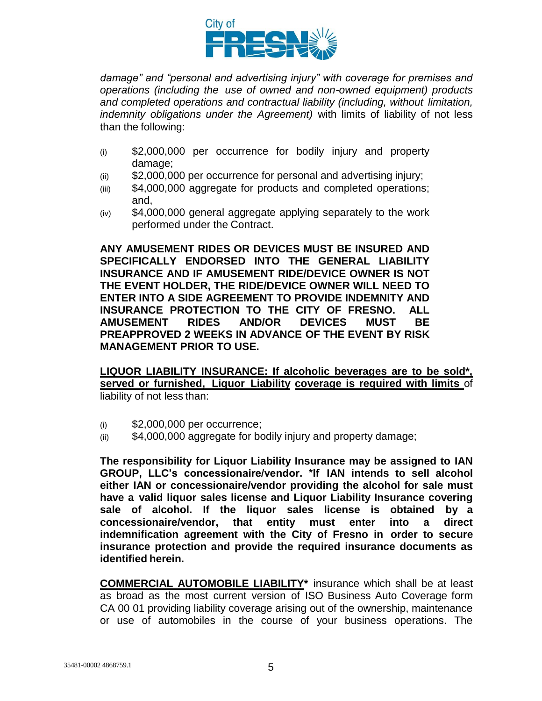

*damage" and "personal and advertising injury" with coverage for premises and operations (including the use of owned and non-owned equipment) products and completed operations and contractual liability (including, without limitation, indemnity obligations under the Agreement)* with limits of liability of not less than the following:

- (i) \$2,000,000 per occurrence for bodily injury and property damage;
- (ii) \$2,000,000 per occurrence for personal and advertising injury;
- (iii) \$4,000,000 aggregate for products and completed operations; and,
- (iv) \$4,000,000 general aggregate applying separately to the work performed under the Contract.

**ANY AMUSEMENT RIDES OR DEVICES MUST BE INSURED AND SPECIFICALLY ENDORSED INTO THE GENERAL LIABILITY INSURANCE AND IF AMUSEMENT RIDE/DEVICE OWNER IS NOT THE EVENT HOLDER, THE RIDE/DEVICE OWNER WILL NEED TO ENTER INTO A SIDE AGREEMENT TO PROVIDE INDEMNITY AND INSURANCE PROTECTION TO THE CITY OF FRESNO. ALL AMUSEMENT RIDES AND/OR DEVICES MUST BE PREAPPROVED 2 WEEKS IN ADVANCE OF THE EVENT BY RISK MANAGEMENT PRIOR TO USE.**

**LIQUOR LIABILITY INSURANCE: If alcoholic beverages are to be sold\*, served or furnished, Liquor Liability coverage is required with limits** of liability of not less than:

- (i) \$2,000,000 per occurrence;
- (ii) \$4,000,000 aggregate for bodily injury and property damage;

**The responsibility for Liquor Liability Insurance may be assigned to IAN GROUP, LLC's concessionaire/vendor. \*If IAN intends to sell alcohol either IAN or concessionaire/vendor providing the alcohol for sale must have a valid liquor sales license and Liquor Liability Insurance covering sale of alcohol. If the liquor sales license is obtained by a concessionaire/vendor, that entity must enter into a direct indemnification agreement with the City of Fresno in order to secure insurance protection and provide the required insurance documents as identified herein.**

**COMMERCIAL AUTOMOBILE LIABILITY\*** insurance which shall be at least as broad as the most current version of ISO Business Auto Coverage form CA 00 01 providing liability coverage arising out of the ownership, maintenance or use of automobiles in the course of your business operations. The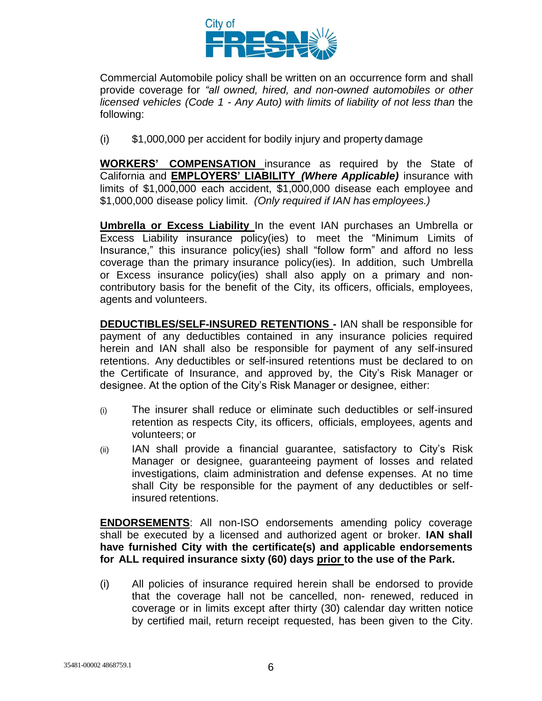

Commercial Automobile policy shall be written on an occurrence form and shall provide coverage for *"all owned, hired, and non-owned automobiles or other licensed vehicles (Code 1 - Any Auto) with limits of liability of not less than* the following:

(i) \$1,000,000 per accident for bodily injury and property damage

**WORKERS' COMPENSATION** insurance as required by the State of California and **EMPLOYERS' LIABILITY** *(Where Applicable)* insurance with limits of \$1,000,000 each accident, \$1,000,000 disease each employee and \$1,000,000 disease policy limit. *(Only required if IAN has employees.)*

**Umbrella or Excess Liability** In the event IAN purchases an Umbrella or Excess Liability insurance policy(ies) to meet the "Minimum Limits of Insurance," this insurance policy(ies) shall "follow form" and afford no less coverage than the primary insurance policy(ies). In addition, such Umbrella or Excess insurance policy(ies) shall also apply on a primary and noncontributory basis for the benefit of the City, its officers, officials, employees, agents and volunteers.

**DEDUCTIBLES/SELF-INSURED RETENTIONS -** IAN shall be responsible for payment of any deductibles contained in any insurance policies required herein and IAN shall also be responsible for payment of any self-insured retentions. Any deductibles or self-insured retentions must be declared to on the Certificate of Insurance, and approved by, the City's Risk Manager or designee. At the option of the City's Risk Manager or designee, either:

- (i) The insurer shall reduce or eliminate such deductibles or self-insured retention as respects City, its officers, officials, employees, agents and volunteers; or
- (ii) IAN shall provide a financial guarantee, satisfactory to City's Risk Manager or designee, guaranteeing payment of losses and related investigations, claim administration and defense expenses. At no time shall City be responsible for the payment of any deductibles or selfinsured retentions.

**ENDORSEMENTS**: All non-ISO endorsements amending policy coverage shall be executed by a licensed and authorized agent or broker. **IAN shall have furnished City with the certificate(s) and applicable endorsements for ALL required insurance sixty (60) days prior to the use of the Park.**

(i) All policies of insurance required herein shall be endorsed to provide that the coverage hall not be cancelled, non- renewed, reduced in coverage or in limits except after thirty (30) calendar day written notice by certified mail, return receipt requested, has been given to the City.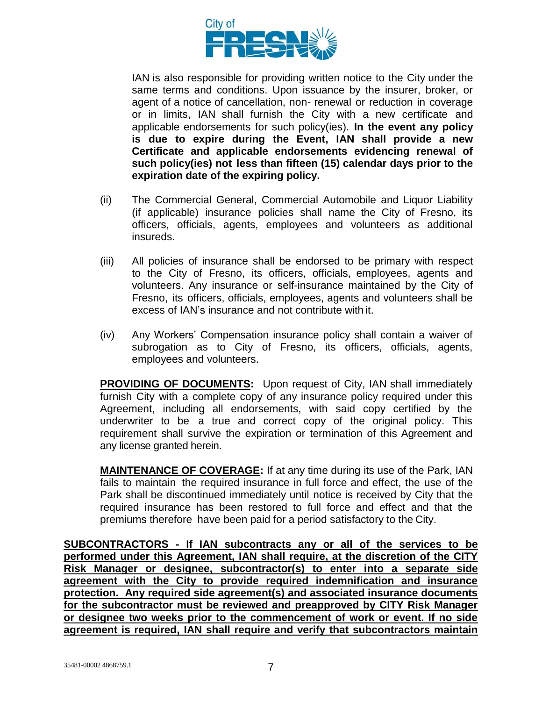

IAN is also responsible for providing written notice to the City under the same terms and conditions. Upon issuance by the insurer, broker, or agent of a notice of cancellation, non- renewal or reduction in coverage or in limits, IAN shall furnish the City with a new certificate and applicable endorsements for such policy(ies). **In the event any policy is due to expire during the Event, IAN shall provide a new Certificate and applicable endorsements evidencing renewal of such policy(ies) not less than fifteen (15) calendar days prior to the expiration date of the expiring policy.**

- (ii) The Commercial General, Commercial Automobile and Liquor Liability (if applicable) insurance policies shall name the City of Fresno, its officers, officials, agents, employees and volunteers as additional insureds.
- (iii) All policies of insurance shall be endorsed to be primary with respect to the City of Fresno, its officers, officials, employees, agents and volunteers. Any insurance or self-insurance maintained by the City of Fresno, its officers, officials, employees, agents and volunteers shall be excess of IAN's insurance and not contribute with it.
- (iv) Any Workers' Compensation insurance policy shall contain a waiver of subrogation as to City of Fresno, its officers, officials, agents, employees and volunteers.

**PROVIDING OF DOCUMENTS:** Upon request of City, IAN shall immediately furnish City with a complete copy of any insurance policy required under this Agreement, including all endorsements, with said copy certified by the underwriter to be a true and correct copy of the original policy. This requirement shall survive the expiration or termination of this Agreement and any license granted herein.

**MAINTENANCE OF COVERAGE:** If at any time during its use of the Park, IAN fails to maintain the required insurance in full force and effect, the use of the Park shall be discontinued immediately until notice is received by City that the required insurance has been restored to full force and effect and that the premiums therefore have been paid for a period satisfactory to the City.

**SUBCONTRACTORS - If IAN subcontracts any or all of the services to be performed under this Agreement, IAN shall require, at the discretion of the CITY Risk Manager or designee, subcontractor(s) to enter into a separate side agreement with the City to provide required indemnification and insurance protection. Any required side agreement(s) and associated insurance documents for the subcontractor must be reviewed and preapproved by CITY Risk Manager or designee two weeks prior to the commencement of work or event. If no side agreement is required, IAN shall require and verify that subcontractors maintain**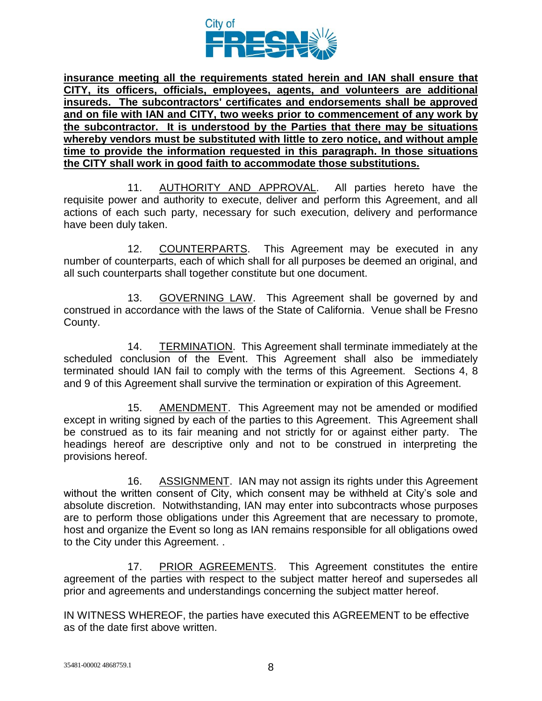

**insurance meeting all the requirements stated herein and IAN shall ensure that CITY, its officers, officials, employees, agents, and volunteers are additional insureds. The subcontractors' certificates and endorsements shall be approved and on file with IAN and CITY, two weeks prior to commencement of any work by the subcontractor. It is understood by the Parties that there may be situations whereby vendors must be substituted with little to zero notice, and without ample time to provide the information requested in this paragraph. In those situations the CITY shall work in good faith to accommodate those substitutions.**

11. AUTHORITY AND APPROVAL. All parties hereto have the requisite power and authority to execute, deliver and perform this Agreement, and all actions of each such party, necessary for such execution, delivery and performance have been duly taken.

12. COUNTERPARTS. This Agreement may be executed in any number of counterparts, each of which shall for all purposes be deemed an original, and all such counterparts shall together constitute but one document.

13. GOVERNING LAW. This Agreement shall be governed by and construed in accordance with the laws of the State of California. Venue shall be Fresno County.

14. TERMINATION. This Agreement shall terminate immediately at the scheduled conclusion of the Event. This Agreement shall also be immediately terminated should IAN fail to comply with the terms of this Agreement. Sections 4, 8 and 9 of this Agreement shall survive the termination or expiration of this Agreement.

15. AMENDMENT. This Agreement may not be amended or modified except in writing signed by each of the parties to this Agreement. This Agreement shall be construed as to its fair meaning and not strictly for or against either party. The headings hereof are descriptive only and not to be construed in interpreting the provisions hereof.

16. ASSIGNMENT. IAN may not assign its rights under this Agreement without the written consent of City, which consent may be withheld at City's sole and absolute discretion. Notwithstanding, IAN may enter into subcontracts whose purposes are to perform those obligations under this Agreement that are necessary to promote, host and organize the Event so long as IAN remains responsible for all obligations owed to the City under this Agreement. .

17. PRIOR AGREEMENTS. This Agreement constitutes the entire agreement of the parties with respect to the subject matter hereof and supersedes all prior and agreements and understandings concerning the subject matter hereof.

IN WITNESS WHEREOF, the parties have executed this AGREEMENT to be effective as of the date first above written.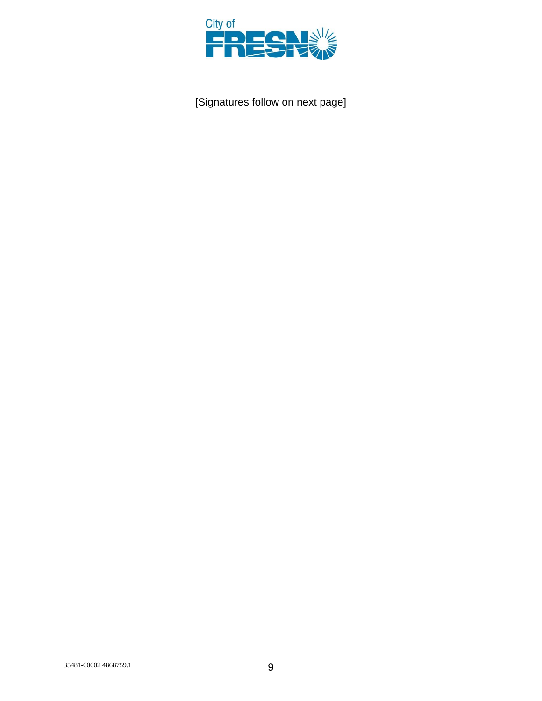

[Signatures follow on next page]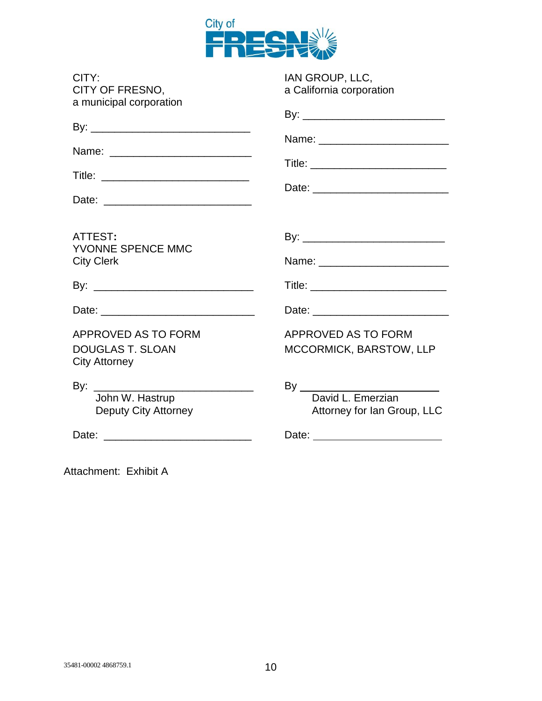

| CITY:<br><b>CITY OF FRESNO,</b><br>a municipal corporation             | IAN GROUP, LLC,<br>a California corporation                                                                                                                                                                                    |
|------------------------------------------------------------------------|--------------------------------------------------------------------------------------------------------------------------------------------------------------------------------------------------------------------------------|
|                                                                        |                                                                                                                                                                                                                                |
|                                                                        |                                                                                                                                                                                                                                |
|                                                                        |                                                                                                                                                                                                                                |
|                                                                        |                                                                                                                                                                                                                                |
| ATTEST:<br>YVONNE SPENCE MMC<br><b>City Clerk</b>                      |                                                                                                                                                                                                                                |
|                                                                        |                                                                                                                                                                                                                                |
|                                                                        |                                                                                                                                                                                                                                |
|                                                                        | Date: the contract of the contract of the contract of the contract of the contract of the contract of the contract of the contract of the contract of the contract of the contract of the contract of the contract of the cont |
| APPROVED AS TO FORM<br><b>DOUGLAS T. SLOAN</b><br><b>City Attorney</b> | APPROVED AS TO FORM<br><b>MCCORMICK, BARSTOW, LLP</b>                                                                                                                                                                          |
| By: $\qquad \qquad$<br>John W. Hastrup<br><b>Deputy City Attorney</b>  | Attorney for Ian Group, LLC                                                                                                                                                                                                    |
|                                                                        | Date: ___________________________                                                                                                                                                                                              |

Attachment: Exhibit A